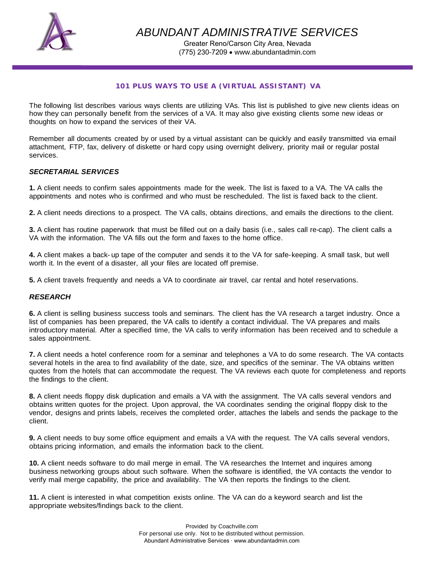

*ABUNDANT ADMINISTRATIVE SERVICES* 

Greater Reno/Carson City Area, Nevada (775) 230-7209 • www.abundantadmin.com

## *101 PLUS WAYS TO USE A (VIRTUAL ASSISTANT) VA*

The following list describes various ways clients are utilizing VAs. This list is published to give new clients ideas on how they can personally benefit from the services of a VA. It may also give existing clients some new ideas or thoughts on how to expand the services of their VA.

Remember all documents created by or used by a virtual assistant can be quickly and easily transmitted via email attachment, FTP, fax, delivery of diskette or hard copy using overnight delivery, priority mail or regular postal services.

### *SECRETARIAL SERVICES*

**1.** A client needs to confirm sales appointments made for the week. The list is faxed to a VA. The VA calls the appointments and notes who is confirmed and who must be rescheduled. The list is faxed back to the client.

**2.** A client needs directions to a prospect. The VA calls, obtains directions, and emails the directions to the client.

**3.** A client has routine paperwork that must be filled out on a daily basis (i.e., sales call re-cap). The client calls a VA with the information. The VA fills out the form and faxes to the home office.

**4.** A client makes a back- up tape of the computer and sends it to the VA for safe-keeping. A small task, but well worth it. In the event of a disaster, all your files are located off premise.

**5.** A client travels frequently and needs a VA to coordinate air travel, car rental and hotel reservations.

### *RESEARCH*

**6.** A client is selling business success tools and seminars. The client has the VA research a target industry. Once a list of companies has been prepared, the VA calls to identify a contact individual. The VA prepares and mails introductory material. After a specified time, the VA calls to verify information has been received and to schedule a sales appointment.

**7.** A client needs a hotel conference room for a seminar and telephones a VA to do some research. The VA contacts several hotels in the area to find availability of the date, size, and specifics of the seminar. The VA obtains written quotes from the hotels that can accommodate the request. The VA reviews each quote for completeness and reports the findings to the client.

**8.** A client needs floppy disk duplication and emails a VA with the assignment. The VA calls several vendors and obtains written quotes for the project. Upon approval, the VA coordinates sending the original floppy disk to the vendor, designs and prints labels, receives the completed order, attaches the labels and sends the package to the client.

**9.** A client needs to buy some office equipment and emails a VA with the request. The VA calls several vendors, obtains pricing information, and emails the information back to the client.

**10.** A client needs software to do mail merge in email. The VA researches the Internet and inquires among business networking groups about such software. When the software is identified, the VA contacts the vendor to verify mail merge capability, the price and availability. The VA then reports the findings to the client.

**11.** A client is interested in what competition exists online. The VA can do a keyword search and list the appropriate websites/findings back to the client.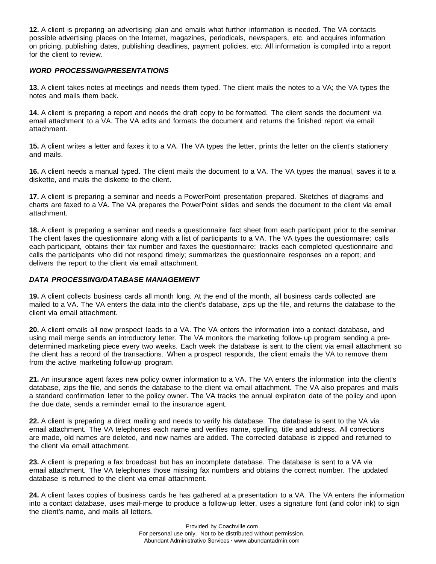**12.** A client is preparing an advertising plan and emails what further information is needed. The VA contacts possible advertising places on the Internet, magazines, periodicals, newspapers, etc. and acquires information on pricing, publishing dates, publishing deadlines, payment policies, etc. All information is compiled into a report for the client to review.

## *WORD PROCESSING/PRESENTATIONS*

**13.** A client takes notes at meetings and needs them typed. The client mails the notes to a VA; the VA types the notes and mails them back.

**14.** A client is preparing a report and needs the draft copy to be formatted. The client sends the document via email attachment to a VA. The VA edits and formats the document and returns the finished report via email attachment.

**15.** A client writes a letter and faxes it to a VA. The VA types the letter, prints the letter on the client's stationery and mails.

**16.** A client needs a manual typed. The client mails the document to a VA. The VA types the manual, saves it to a diskette, and mails the diskette to the client.

**17.** A client is preparing a seminar and needs a PowerPoint presentation prepared. Sketches of diagrams and charts are faxed to a VA. The VA prepares the PowerPoint slides and sends the document to the client via email attachment.

**18.** A client is preparing a seminar and needs a questionnaire fact sheet from each participant prior to the seminar. The client faxes the questionnaire along with a list of participants to a VA. The VA types the questionnaire; calls each participant, obtains their fax number and faxes the questionnaire; tracks each completed questionnaire and calls the participants who did not respond timely; summarizes the questionnaire responses on a report; and delivers the report to the client via email attachment.

## *DATA PROCESSING/DATABASE MANAGEMENT*

**19.** A client collects business cards all month long. At the end of the month, all business cards collected are mailed to a VA. The VA enters the data into the client's database, zips up the file, and returns the database to the client via email attachment.

**20.** A client emails all new prospect leads to a VA. The VA enters the information into a contact database, and using mail merge sends an introductory letter. The VA monitors the marketing follow- up program sending a predetermined marketing piece every two weeks. Each week the database is sent to the client via email attachment so the client has a record of the transactions. When a prospect responds, the client emails the VA to remove them from the active marketing follow-up program.

**21.** An insurance agent faxes new policy owner information to a VA. The VA enters the information into the client's database, zips the file, and sends the database to the client via email attachment. The VA also prepares and mails a standard confirmation letter to the policy owner. The VA tracks the annual expiration date of the policy and upon the due date, sends a reminder email to the insurance agent.

**22.** A client is preparing a direct mailing and needs to verify his database. The database is sent to the VA via email attachment. The VA telephones each name and verifies name, spelling, title and address. All corrections are made, old names are deleted, and new names are added. The corrected database is zipped and returned to the client via email attachment.

**23.** A client is preparing a fax broadcast but has an incomplete database. The database is sent to a VA via email attachment. The VA telephones those missing fax numbers and obtains the correct number. The updated database is returned to the client via email attachment.

**24.** A client faxes copies of business cards he has gathered at a presentation to a VA. The VA enters the information into a contact database, uses mail-merge to produce a follow-up letter, uses a signature font (and color ink) to sign the client's name, and mails all letters.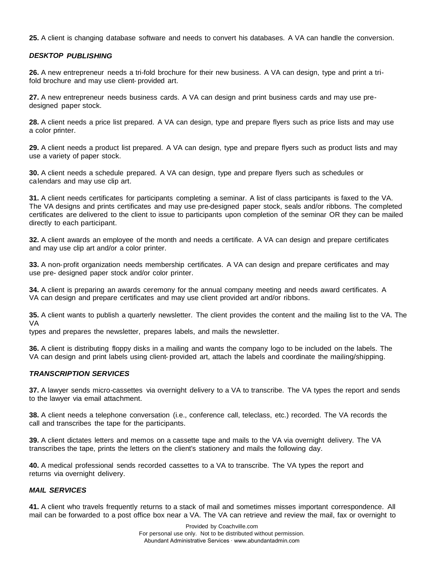**25.** A client is changing database software and needs to convert his databases. A VA can handle the conversion.

### *DESKTOP PUBLISHING*

**26.** A new entrepreneur needs a tri-fold brochure for their new business. A VA can design, type and print a trifold brochure and may use client- provided art.

**27.** A new entrepreneur needs business cards. A VA can design and print business cards and may use predesigned paper stock.

**28.** A client needs a price list prepared. A VA can design, type and prepare flyers such as price lists and may use a color printer.

**29.** A client needs a product list prepared. A VA can design, type and prepare flyers such as product lists and may use a variety of paper stock.

**30.** A client needs a schedule prepared. A VA can design, type and prepare flyers such as schedules or calendars and may use clip art.

**31.** A client needs certificates for participants completing a seminar. A list of class participants is faxed to the VA. The VA designs and prints certificates and may use pre-designed paper stock, seals and/or ribbons. The completed certificates are delivered to the client to issue to participants upon completion of the seminar OR they can be mailed directly to each participant.

**32.** A client awards an employee of the month and needs a certificate. A VA can design and prepare certificates and may use clip art and/or a color printer.

**33.** A non-profit organization needs membership certificates. A VA can design and prepare certificates and may use pre- designed paper stock and/or color printer.

**34.** A client is preparing an awards ceremony for the annual company meeting and needs award certificates. A VA can design and prepare certificates and may use client provided art and/or ribbons.

**35.** A client wants to publish a quarterly newsletter. The client provides the content and the mailing list to the VA. The VA

types and prepares the newsletter, prepares labels, and mails the newsletter.

**36.** A client is distributing floppy disks in a mailing and wants the company logo to be included on the labels. The VA can design and print labels using client- provided art, attach the labels and coordinate the mailing/shipping.

### *TRANSCRIPTION SERVICES*

**37.** A lawyer sends micro-cassettes via overnight delivery to a VA to transcribe. The VA types the report and sends to the lawyer via email attachment.

**38.** A client needs a telephone conversation (i.e., conference call, teleclass, etc.) recorded. The VA records the call and transcribes the tape for the participants.

**39.** A client dictates letters and memos on a cassette tape and mails to the VA via overnight delivery. The VA transcribes the tape, prints the letters on the client's stationery and mails the following day.

**40.** A medical professional sends recorded cassettes to a VA to transcribe. The VA types the report and returns via overnight delivery.

### *MAIL SERVICES*

**41.** A client who travels frequently returns to a stack of mail and sometimes misses important correspondence. All mail can be forwarded to a post office box near a VA. The VA can retrieve and review the mail, fax or overnight to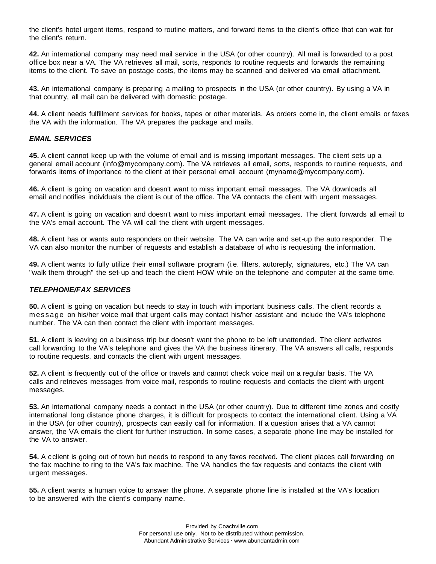the client's hotel urgent items, respond to routine matters, and forward items to the client's office that can wait for the client's return.

**42.** An international company may need mail service in the USA (or other country). All mail is forwarded to a post office box near a VA. The VA retrieves all mail, sorts, responds to routine requests and forwards the remaining items to the client. To save on postage costs, the items may be scanned and delivered via email attachment.

**43.** An international company is preparing a mailing to prospects in the USA (or other country). By using a VA in that country, all mail can be delivered with domestic postage.

**44.** A client needs fulfillment services for books, tapes or other materials. As orders come in, the client emails or faxes the VA with the information. The VA prepares the package and mails.

### *EMAIL SERVICES*

**45.** A client cannot keep up with the volume of email and is missing important messages. The client sets up a general email account (info@mycompany.com). The VA retrieves all email, sorts, responds to routine requests, and forwards items of importance to the client at their personal email account (myname@mycompany.com).

**46.** A client is going on vacation and doesn't want to miss important email messages. The VA downloads all email and notifies individuals the client is out of the office. The VA contacts the client with urgent messages.

**47.** A client is going on vacation and doesn't want to miss important email messages. The client forwards all email to the VA's email account. The VA will call the client with urgent messages.

**48.** A client has or wants auto responders on their website. The VA can write and set-up the auto responder. The VA can also monitor the number of requests and establish a database of who is requesting the information.

**49.** A client wants to fully utilize their email software program (i.e. filters, autoreply, signatures, etc.) The VA can "walk them through" the set-up and teach the client HOW while on the telephone and computer at the same time.

### *TELEPHONE/FAX SERVICES*

**50.** A client is going on vacation but needs to stay in touch with important business calls. The client records a message on his/her voice mail that urgent calls may contact his/her assistant and include the VA's telephone number. The VA can then contact the client with important messages.

**51.** A client is leaving on a business trip but doesn't want the phone to be left unattended. The client activates call forwarding to the VA's telephone and gives the VA the business itinerary. The VA answers all calls, responds to routine requests, and contacts the client with urgent messages.

**52.** A client is frequently out of the office or travels and cannot check voice mail on a regular basis. The VA calls and retrieves messages from voice mail, responds to routine requests and contacts the client with urgent messages.

**53.** An international company needs a contact in the USA (or other country). Due to different time zones and costly international long distance phone charges, it is difficult for prospects to contact the international client. Using a VA in the USA (or other country), prospects can easily call for information. If a question arises that a VA cannot answer, the VA emails the client for further instruction. In some cases, a separate phone line may be installed for the VA to answer.

**54.** A cclient is going out of town but needs to respond to any faxes received. The client places call forwarding on the fax machine to ring to the VA's fax machine. The VA handles the fax requests and contacts the client with urgent messages.

**55.** A client wants a human voice to answer the phone. A separate phone line is installed at the VA's location to be answered with the client's company name.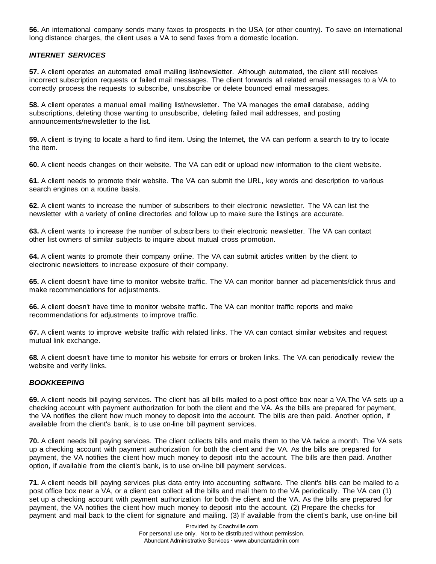**56.** An international company sends many faxes to prospects in the USA (or other country). To save on international long distance charges, the client uses a VA to send faxes from a domestic location.

# *INTERNET SERVICES*

**57.** A client operates an automated email mailing list/newsletter. Although automated, the client still receives incorrect subscription requests or failed mail messages. The client forwards all related email messages to a VA to correctly process the requests to subscribe, unsubscribe or delete bounced email messages.

**58.** A client operates a manual email mailing list/newsletter. The VA manages the email database, adding subscriptions, deleting those wanting to unsubscribe, deleting failed mail addresses, and posting announcements/newsletter to the list.

**59.** A client is trying to locate a hard to find item. Using the Internet, the VA can perform a search to try to locate the item.

**60.** A client needs changes on their website. The VA can edit or upload new information to the client website.

**61.** A client needs to promote their website. The VA can submit the URL, key words and description to various search engines on a routine basis.

**62.** A client wants to increase the number of subscribers to their electronic newsletter. The VA can list the newsletter with a variety of online directories and follow up to make sure the listings are accurate.

**63.** A client wants to increase the number of subscribers to their electronic newsletter. The VA can contact other list owners of similar subjects to inquire about mutual cross promotion.

**64.** A client wants to promote their company online. The VA can submit articles written by the client to electronic newsletters to increase exposure of their company.

**65.** A client doesn't have time to monitor website traffic. The VA can monitor banner ad placements/click thrus and make recommendations for adjustments.

**66.** A client doesn't have time to monitor website traffic. The VA can monitor traffic reports and make recommendations for adjustments to improve traffic.

**67.** A client wants to improve website traffic with related links. The VA can contact similar websites and request mutual link exchange.

**68.** A client doesn't have time to monitor his website for errors or broken links. The VA can periodically review the website and verify links.

## *BOOKKEEPING*

**69.** A client needs bill paying services. The client has all bills mailed to a post office box near a VA. The VA sets up a checking account with payment authorization for both the client and the VA. As the bills are prepared for payment, the VA notifies the client how much money to deposit into the account. The bills are then paid. Another option, if available from the client's bank, is to use on-line bill payment services.

**70.** A client needs bill paying services. The client collects bills and mails them to the VA twice a month. The VA sets up a checking account with payment authorization for both the client and the VA. As the bills are prepared for payment, the VA notifies the client how much money to deposit into the account. The bills are then paid. Another option, if available from the client's bank, is to use on-line bill payment services.

**71.** A client needs bill paying services plus data entry into accounting software. The client's bills can be mailed to a post office box near a VA, or a client can collect all the bills and mail them to the VA periodically. The VA can (1) set up a checking account with payment authorization for both the client and the VA. As the bills are prepared for payment, the VA notifies the client how much money to deposit into the account. (2) Prepare the checks for payment and mail back to the client for signature and mailing. (3) If available from the client's bank, use on-line bill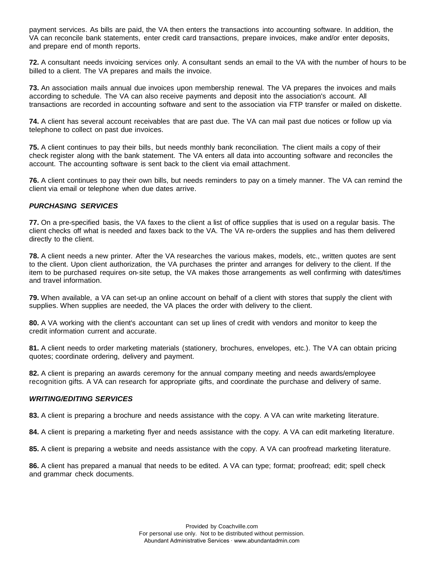payment services. As bills are paid, the VA then enters the transactions into accounting software. In addition, the VA can reconcile bank statements, enter credit card transactions, prepare invoices, make and/or enter deposits, and prepare end of month reports.

**72.** A consultant needs invoicing services only. A consultant sends an email to the VA with the number of hours to be billed to a client. The VA prepares and mails the invoice.

**73.** An association mails annual due invoices upon membership renewal. The VA prepares the invoices and mails according to schedule. The VA can also receive payments and deposit into the association's account. All transactions are recorded in accounting software and sent to the association via FTP transfer or mailed on diskette.

**74.** A client has several account receivables that are past due. The VA can mail past due notices or follow up via telephone to collect on past due invoices.

**75.** A client continues to pay their bills, but needs monthly bank reconciliation. The client mails a copy of their check register along with the bank statement. The VA enters all data into accounting software and reconciles the account. The accounting software is sent back to the client via email attachment.

**76.** A client continues to pay their own bills, but needs reminders to pay on a timely manner. The VA can remind the client via email or telephone when due dates arrive.

### *PURCHASING SERVICES*

**77.** On a pre-specified basis, the VA faxes to the client a list of office supplies that is used on a regular basis. The client checks off what is needed and faxes back to the VA. The VA re-orders the supplies and has them delivered directly to the client.

**78.** A client needs a new printer. After the VA researches the various makes, models, etc., written quotes are sent to the client. Upon client authorization, the VA purchases the printer and arranges for delivery to the client. If the item to be purchased requires on-site setup, the VA makes those arrangements as well confirming with dates/times and travel information.

**79.** When available, a VA can set-up an online account on behalf of a client with stores that supply the client with supplies. When supplies are needed, the VA places the order with delivery to the client.

**80.** A VA working with the client's accountant can set up lines of credit with vendors and monitor to keep the credit information current and accurate.

**81.** A client needs to order marketing materials (stationery, brochures, envelopes, etc.). The VA can obtain pricing quotes; coordinate ordering, delivery and payment.

**82.** A client is preparing an awards ceremony for the annual company meeting and needs awards/employee recognition gifts. A VA can research for appropriate gifts, and coordinate the purchase and delivery of same.

### *WRITING/EDITING SERVICES*

**83.** A client is preparing a brochure and needs assistance with the copy. A VA can write marketing literature.

**84.** A client is preparing a marketing flyer and needs assistance with the copy. A VA can edit marketing literature.

**85.** A client is preparing a website and needs assistance with the copy. A VA can proofread marketing literature.

**86.** A client has prepared a manual that needs to be edited. A VA can type; format; proofread; edit; spell check and grammar check documents.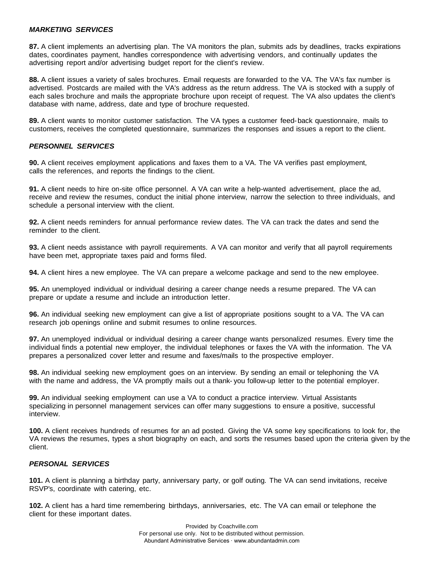#### *MARKETING SERVICES*

**87.** A client implements an advertising plan. The VA monitors the plan, submits ads by deadlines, tracks expirations dates, coordinates payment, handles correspondence with advertising vendors, and continually updates the advertising report and/or advertising budget report for the client's review.

**88.** A client issues a variety of sales brochures. Email requests are forwarded to the VA. The VA's fax number is advertised. Postcards are mailed with the VA's address as the return address. The VA is stocked with a supply of each sales brochure and mails the appropriate brochure upon receipt of request. The VA also updates the client's database with name, address, date and type of brochure requested.

**89.** A client wants to monitor customer satisfaction. The VA types a customer feed-back questionnaire, mails to customers, receives the completed questionnaire, summarizes the responses and issues a report to the client.

### *PERSONNEL SERVICES*

**90.** A client receives employment applications and faxes them to a VA. The VA verifies past employment, calls the references, and reports the findings to the client.

**91.** A client needs to hire on-site office personnel. A VA can write a help-wanted advertisement, place the ad, receive and review the resumes, conduct the initial phone interview, narrow the selection to three individuals, and schedule a personal interview with the client.

**92.** A client needs reminders for annual performance review dates. The VA can track the dates and send the reminder to the client.

**93.** A client needs assistance with payroll requirements. A VA can monitor and verify that all payroll requirements have been met, appropriate taxes paid and forms filed.

**94.** A client hires a new employee. The VA can prepare a welcome package and send to the new employee.

**95.** An unemployed individual or individual desiring a career change needs a resume prepared. The VA can prepare or update a resume and include an introduction letter.

**96.** An individual seeking new employment can give a list of appropriate positions sought to a VA. The VA can research job openings online and submit resumes to online resources.

**97.** An unemployed individual or individual desiring a career change wants personalized resumes. Every time the individual finds a potential new employer, the individual telephones or faxes the VA with the information. The VA prepares a personalized cover letter and resume and faxes/mails to the prospective employer.

**98.** An individual seeking new employment goes on an interview. By sending an email or telephoning the VA with the name and address, the VA promptly mails out a thank- you follow-up letter to the potential employer.

**99.** An individual seeking employment can use a VA to conduct a practice interview. Virtual Assistants specializing in personnel management services can offer many suggestions to ensure a positive, successful interview.

**100.** A client receives hundreds of resumes for an ad posted. Giving the VA some key specifications to look for, the VA reviews the resumes, types a short biography on each, and sorts the resumes based upon the criteria given by the client.

## *PERSONAL SERVICES*

**101.** A client is planning a birthday party, anniversary party, or golf outing. The VA can send invitations, receive RSVP's, coordinate with catering, etc.

**102.** A client has a hard time remembering birthdays, anniversaries, etc. The VA can email or telephone the client for these important dates.

> Provided by Coachville.com For personal use only. Not to be distributed without permission. Abundant Administrative Services ∙ www.abundantadmin.com